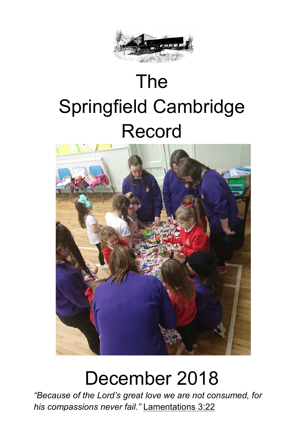

# The Springfield Cambridge Record



## December 2018

**Minister** *his compassions never fail."* [Lamentations](http://www.biblestudytools.com/search/?t=niv&q=la+3:22) 3:22*"Because of the Lord's great love we are not consumed, for*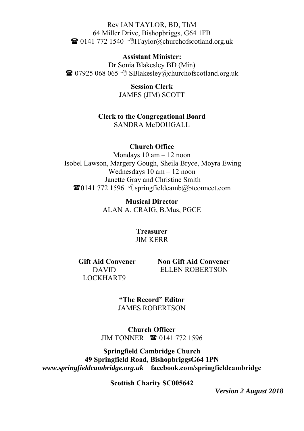Rev IAN TAYLOR, BD, ThM 64 Miller Drive, Bishopbriggs, G64 1FB  $\mathbf{\widehat{a}}$  0141 772 1540  $\Diamond$  Taylor (a) churchofscotland.org.uk

#### **Assistant Minister:**

Dr Sonia Blakesley BD (Min)  $\bullet$  07925 068 065  $\circ$  SBlakesley@churchofscotland.org.uk

> **Session Clerk**  JAMES (JIM) SCOTT

**Clerk to the Congregational Board**  SANDRA McDOUGALL

#### **Church Office**

Mondays 10 am – 12 noon Isobel Lawson, Margery Gough, Sheila Bryce, Moyra Ewing Wednesdays 10 am – 12 noon Janette Gray and Christine Smith  $\bullet$ 0141 772 1596  $\circ$ springfieldcamb@btconnect.com

> **Musical Director**  ALAN A. CRAIG, B.Mus, PGCE

> > **Treasurer**  JIM KERR

**Gift Aid Convener**  DAVID LOCKHART9

 **Non Gift Aid Convener** ELLEN ROBERTSON

**"The Record" Editor** JAMES ROBERTSON

**Church Officer** JIM TONNER **1** 0141 772 1596

**Springfield Cambridge Church 49 Springfield Road, BishopbriggsG64 1PN** *www.springfieldcambridge.org.uk* **facebook.com/springfieldcambridge**

**Scottish Charity SC005642**

*Version 2 August 2018*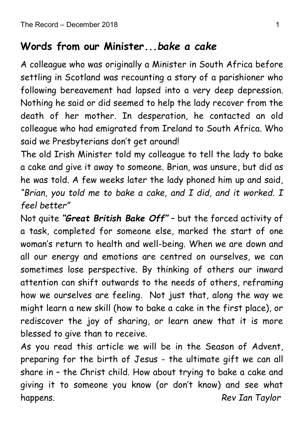## **Words from our Minister...***bake a cake*

A colleague who was originally a Minister in South Africa before settling in Scotland was recounting a story of a parishioner who following bereavement had lapsed into a very deep depression. Nothing he said or did seemed to help the lady recover from the death of her mother. In desperation, he contacted an old colleague who had emigrated from Ireland to South Africa. Who said we Presbyterians don't get around!

The old Irish Minister told my colleague to tell the lady to bake a cake and give it away to someone. Brian, was unsure, but did as he was told. A few weeks later the lady phoned him up and said, *"Brian, you told me to bake a cake, and I did, and it worked. I feel better"*

Not quite *"Great British Bake Off"* – but the forced activity of a task, completed for someone else, marked the start of one woman's return to health and well-being. When we are down and all our energy and emotions are centred on ourselves, we can sometimes lose perspective. By thinking of others our inward attention can shift outwards to the needs of others, reframing how we ourselves are feeling. Not just that, along the way we might learn a new skill (how to bake a cake in the first place), or rediscover the joy of sharing, or learn anew that it is more blessed to give than to receive.

As you read this article we will be in the Season of Advent, preparing for the birth of Jesus - the ultimate gift we can all share in – the Christ child. How about trying to bake a cake and giving it to someone you know (or don't know) and see what happens. *Rev Ian Taylor*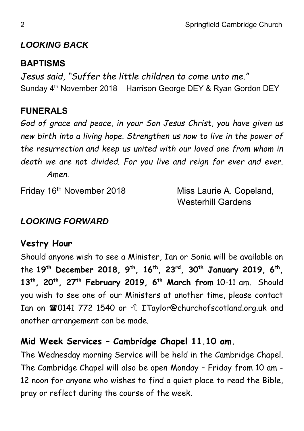### *LOOKING BACK*

#### **BAPTISMS**

*Jesus said, "Suffer the little children to come unto me."* Sunday 4<sup>th</sup> November 2018 Harrison George DEY & Ryan Gordon DEY

## **FUNERALS**

*God of grace and peace, in your Son Jesus Christ, you have given us new birth into a living hope. Strengthen us now to live in the power of the resurrection and keep us united with our loved one from whom in death we are not divided. For you live and reign for ever and ever. Amen.*

Friday 16th November 2018 Miss Laurie A. Copeland,

Westerhill Gardens

### *LOOKING FORWARD*

### **Vestry Hour**

Should anyone wish to see a Minister, Ian or Sonia will be available on the **19th December 2018, 9th, 16th, 23rd, 30th January 2019, 6th , 13th, 20th, 27th February 2019, 6 th March from** 10-11 am. Should you wish to see one of our Ministers at another time, please contact Ian on 20141 772 1540 or <sup>8</sup> ITaylor@churchofscotland.org.uk and another arrangement can be made.

### **Mid Week Services – Cambridge Chapel 11.10 am.**

The Wednesday morning Service will be held in the Cambridge Chapel. The Cambridge Chapel will also be open Monday – Friday from 10 am - 12 noon for anyone who wishes to find a quiet place to read the Bible, pray or reflect during the course of the week.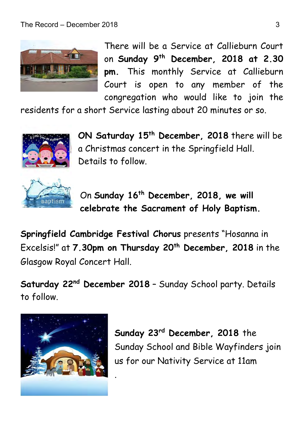

There will be a Service at Callieburn Court on **Sunday 9th December, 2018 at 2.30 pm.** This monthly Service at Callieburn Court is open to any member of the congregation who would like to join the

residents for a short Service lasting about 20 minutes or so.



**ON Saturday 15th December, 2018** there will be a Christmas concert in the Springfield Hall. Details to follow.



On **Sunday 16th December, 2018, we will celebrate the Sacrament of Holy Baptism.**

**Springfield Cambridge Festival Chorus** presents "Hosanna in Excelsis!" at **7.30pm on Thursday 20th December, 2018** in the Glasgow Royal Concert Hall.

**Saturday 22nd December 2018** – Sunday School party. Details to follow.

.



**Sunday 23rd December, 2018** the Sunday School and Bible Wayfinders join us for our Nativity Service at 11am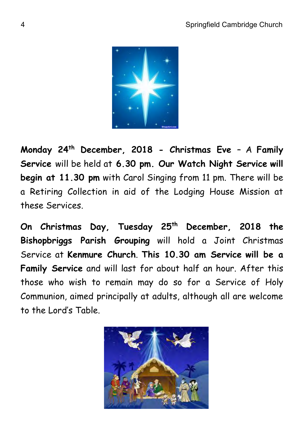

**Monday 24th December, 2018 - Christmas Eve** – A **Family Service** will be held at **6.30 pm. Our Watch Night Service will begin at 11.30 pm** with Carol Singing from 11 pm. There will be a Retiring Collection in aid of the Lodging House Mission at these Services.

**On Christmas Day, Tuesday 25 th December, 2018 the Bishopbriggs Parish Grouping** will hold a Joint Christmas Service at **Kenmure Church**. **This 10.30 am Service will be a Family Service** and will last for about half an hour. After this those who wish to remain may do so for a Service of Holy Communion, aimed principally at adults, although all are welcome to the Lord's Table.

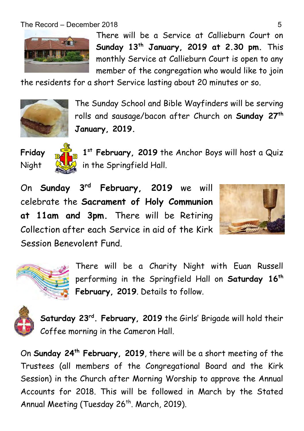

There will be a Service at Callieburn Court on **Sunday 13th January, 2019 at 2.30 pm.** This monthly Service at Callieburn Court is open to any member of the congregation who would like to join

the residents for a short Service lasting about 20 minutes or so.



The Sunday School and Bible Wayfinders will be serving rolls and sausage/bacon after Church on **Sunday 27th January, 2019.**





1<sup>st</sup> February, 2019 the Anchor Boys will host a Quiz Night  $\mathbb{Q}$ , in the Springfield Hall.

On **Sunday 3 rd February, 2019** we will celebrate the **Sacrament of Holy Communion at 11am and 3pm.** There will be Retiring Collection after each Service in aid of the Kirk Session Benevolent Fund.





There will be a Charity Night with Euan Russell performing in the Springfield Hall on **Saturday 16th February, 2019**. Details to follow.



**Saturday 23rd . February, 2019** the Girls' Brigade will hold their Coffee morning in the Cameron Hall.

On **Sunday 24th February, 2019**, there will be a short meeting of the Trustees (all members of the Congregational Board and the Kirk Session) in the Church after Morning Worship to approve the Annual Accounts for 2018. This will be followed in March by the Stated Annual Meeting (Tuesday  $26<sup>th</sup>$ . March, 2019).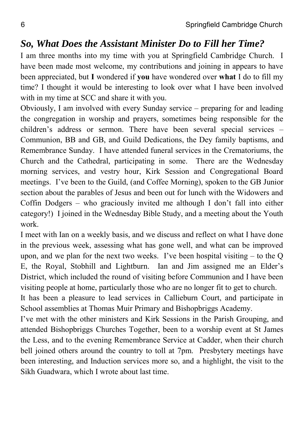#### *So, What Does the Assistant Minister Do to Fill her Time?*

I am three months into my time with you at Springfield Cambridge Church. I have been made most welcome, my contributions and joining in appears to have been appreciated, but **I** wondered if **you** have wondered over **what** I do to fill my time? I thought it would be interesting to look over what I have been involved with in my time at SCC and share it with you.

Obviously, I am involved with every Sunday service – preparing for and leading the congregation in worship and prayers, sometimes being responsible for the children's address or sermon. There have been several special services – Communion, BB and GB, and Guild Dedications, the Dey family baptisms, and Remembrance Sunday. I have attended funeral services in the Crematoriums, the Church and the Cathedral, participating in some. There are the Wednesday morning services, and vestry hour, Kirk Session and Congregational Board meetings. I've been to the Guild, (and Coffee Morning), spoken to the GB Junior section about the parables of Jesus and been out for lunch with the Widowers and Coffin Dodgers – who graciously invited me although I don't fall into either category!) I joined in the Wednesday Bible Study, and a meeting about the Youth work.

I meet with Ian on a weekly basis, and we discuss and reflect on what I have done in the previous week, assessing what has gone well, and what can be improved upon, and we plan for the next two weeks. I've been hospital visiting  $-$  to the O E, the Royal, Stobhill and Lightburn. Ian and Jim assigned me an Elder's District, which included the round of visiting before Communion and I have been visiting people at home, particularly those who are no longer fit to get to church.

It has been a pleasure to lead services in Callieburn Court, and participate in School assemblies at Thomas Muir Primary and Bishopbriggs Academy.

I've met with the other ministers and Kirk Sessions in the Parish Grouping, and attended Bishopbriggs Churches Together, been to a worship event at St James the Less, and to the evening Remembrance Service at Cadder, when their church bell joined others around the country to toll at 7pm. Presbytery meetings have been interesting, and Induction services more so, and a highlight, the visit to the Sikh Guadwara, which I wrote about last time.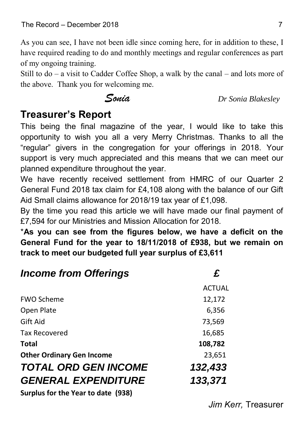As you can see, I have not been idle since coming here, for in addition to these, I have required reading to do and monthly meetings and regular conferences as part of my ongoing training.

Still to do – a visit to Cadder Coffee Shop, a walk by the canal – and lots more of the above. Thank you for welcoming me.

 *Sonia Dr Sonia Blakesley*

## **Treasurer's Report**

This being the final magazine of the year, I would like to take this opportunity to wish you all a very Merry Christmas. Thanks to all the "regular" givers in the congregation for your offerings in 2018. Your support is very much appreciated and this means that we can meet our planned expenditure throughout the year.

We have recently received settlement from HMRC of our Quarter 2 General Fund 2018 tax claim for £4,108 along with the balance of our Gift Aid Small claims allowance for 2018/19 tax year of £1,098.

By the time you read this article we will have made our final payment of £7,594 for our Ministries and Mission Allocation for 2018.

\***As you can see from the figures below, we have a deficit on the General Fund for the year to 18/11/2018 of £938, but we remain on track to meet our budgeted full year surplus of £3,611**

| <b>Income from Offerings</b>       | £             |
|------------------------------------|---------------|
|                                    | <b>ACTUAL</b> |
| <b>FWO Scheme</b>                  | 12,172        |
| Open Plate                         | 6,356         |
| Gift Aid                           | 73,569        |
| <b>Tax Recovered</b>               | 16,685        |
| <b>Total</b>                       | 108,782       |
| <b>Other Ordinary Gen Income</b>   | 23,651        |
| <b>TOTAL ORD GEN INCOME</b>        | 132,433       |
| <b>GENERAL EXPENDITURE</b>         | 133,371       |
| Curatus for the Vess to date (020) |               |

**Surplus for the Year to date (938)**

*Jim Kerr,* Treasurer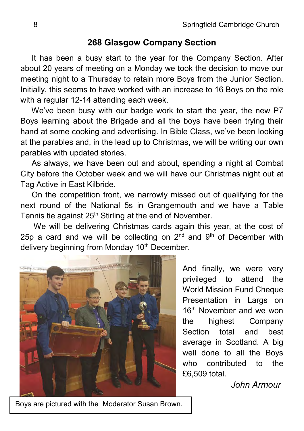#### **268 Glasgow Company Section**

 It has been a busy start to the year for the Company Section. After about 20 years of meeting on a Monday we took the decision to move our meeting night to a Thursday to retain more Boys from the Junior Section. Initially, this seems to have worked with an increase to 16 Boys on the role with a regular 12-14 attending each week.

 We've been busy with our badge work to start the year, the new P7 Boys learning about the Brigade and all the boys have been trying their hand at some cooking and advertising. In Bible Class, we've been looking at the parables and, in the lead up to Christmas, we will be writing our own parables with updated stories.

 As always, we have been out and about, spending a night at Combat City before the October week and we will have our Christmas night out at Tag Active in East Kilbride.

 On the competition front, we narrowly missed out of qualifying for the next round of the National 5s in Grangemouth and we have a Table Tennis tie against 25<sup>th</sup> Stirling at the end of November.

We will be delivering Christmas cards again this year, at the cost of 25p a card and we will be collecting on  $2<sup>nd</sup>$  and  $9<sup>th</sup>$  of December with delivery beginning from Monday 10<sup>th</sup> December.



And finally, we were very privileged to attend the World Mission Fund Cheque Presentation in Largs on 16<sup>th</sup> November and we won the highest Company Section total and best average in Scotland. A big well done to all the Boys who contributed to the £6,509 total.

 *John Armour*

Boys are pictured with the Moderator Susan Brown.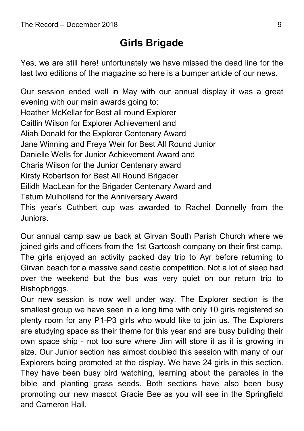## **Girls Brigade**

Yes, we are still here! unfortunately we have missed the dead line for the last two editions of the magazine so here is a bumper article of our news.

Our session ended well in May with our annual display it was a great evening with our main awards going to: Heather McKellar for Best all round Explorer Caitlin Wilson for Explorer Achievement and Aliah Donald for the Explorer Centenary Award Jane Winning and Freya Weir for Best All Round Junior Danielle Wells for Junior Achievement Award and Charis Wilson for the Junior Centenary award Kirsty Robertson for Best All Round Brigader Eilidh MacLean for the Brigader Centenary Award and Tatum Mulholland for the Anniversary Award This year's Cuthbert cup was awarded to Rachel Donnelly from the Juniors.

Our annual camp saw us back at Girvan South Parish Church where we joined girls and officers from the 1st Gartcosh company on their first camp. The girls enjoyed an activity packed day trip to Ayr before returning to Girvan beach for a massive sand castle competition. Not a lot of sleep had over the weekend but the bus was very quiet on our return trip to Bishopbriggs.

Our new session is now well under way. The Explorer section is the smallest group we have seen in a long time with only 10 girls registered so plenty room for any P1-P3 girls who would like to join us. The Explorers are studying space as their theme for this year and are busy building their own space ship - not too sure where Jim will store it as it is growing in size. Our Junior section has almost doubled this session with many of our Explorers being promoted at the display. We have 24 girls in this section. They have been busy bird watching, learning about the parables in the bible and planting grass seeds. Both sections have also been busy promoting our new mascot Gracie Bee as you will see in the Springfield and Cameron Hall.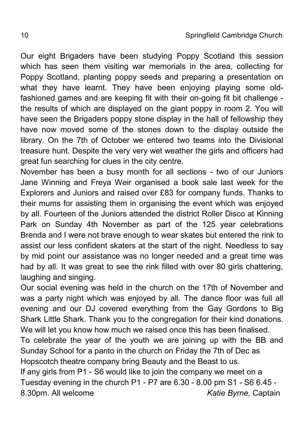Our eight Brigaders have been studying Poppy Scotland this session which has seen them visiting war memorials in the area, collecting for Poppy Scotland, planting poppy seeds and preparing a presentation on what they have learnt. They have been enjoying playing some oldfashioned games and are keeping fit with their on-going fit bit challenge the results of which are displayed on the giant poppy in room 2. You will have seen the Brigaders poppy stone display in the hall of fellowship they have now moved some of the stones down to the display outside the library. On the 7th of October we entered two teams into the Divisional treasure hunt. Despite the very very wet weather the girls and officers had great fun searching for clues in the city centre.

November has been a busy month for all sections - two of our Juniors Jane Winning and Freya Weir organised a book sale last week for the Explorers and Juniors and raised over £83 for company funds. Thanks to their mums for assisting them in organising the event which was enjoyed by all. Fourteen of the Juniors attended the district Roller Disco at Kinning Park on Sunday 4th November as part of the 125 year celebrations Brenda and I were not brave enough to wear skates but entered the rink to assist our less confident skaters at the start of the night. Needless to say by mid point our assistance was no longer needed and a great time was had by all. It was great to see the rink filled with over 80 girls chattering, laughing and singing.

Our social evening was held in the church on the 17th of November and was a party night which was enjoyed by all. The dance floor was full all evening and our DJ covered everything from the Gay Gordons to Big Shark Little Shark. Thank you to the congregation for their kind donations. We will let you know how much we raised once this has been finalised. To celebrate the year of the youth we are joining up with the BB and Sunday School for a panto in the church on Friday the 7th of Dec as Hopscotch theatre company bring Beauty and the Beast to us. If any girls from P1 - S6 would like to join the company we meet on a Tuesday evening in the church P1 - P7 are 6.30 - 8.00 pm S1 - S6 6.45 - 8.30pm. All welcome *Katie Byrne,* Captain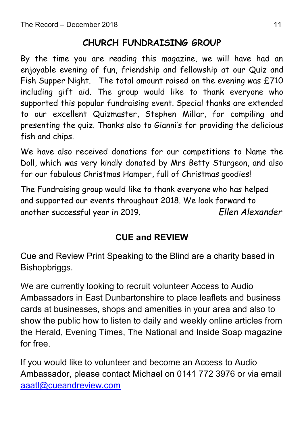### **CHURCH FUNDRAISING GROUP**

By the time you are reading this magazine, we will have had an enjoyable evening of fun, friendship and fellowship at our Quiz and Fish Supper Night. The total amount raised on the evening was £710 including gift aid. The group would like to thank everyone who supported this popular fundraising event. Special thanks are extended to our excellent Quizmaster, Stephen Millar, for compiling and presenting the quiz. Thanks also to Gianni's for providing the delicious fish and chips.

We have also received donations for our competitions to Name the Doll, which was very kindly donated by Mrs Betty Sturgeon, and also for our fabulous Christmas Hamper, full of Christmas goodies!

The Fundraising group would like to thank everyone who has helped and supported our events throughout 2018. We look forward to another successful year in 2019. *Ellen Alexander*

### **CUE and REVIEW**

Cue and Review Print Speaking to the Blind are a charity based in Bishopbriggs.

We are currently looking to recruit volunteer Access to Audio Ambassadors in East Dunbartonshire to place leaflets and business cards at businesses, shops and amenities in your area and also to show the public how to listen to daily and weekly online articles from the Herald, Evening Times, The National and Inside Soap magazine for free.

If you would like to volunteer and become an Access to Audio Ambassador, please contact Michael on 0141 772 3976 or via email [aaatl@cueandreview.com](mailto:aaatl@cueandreview.com)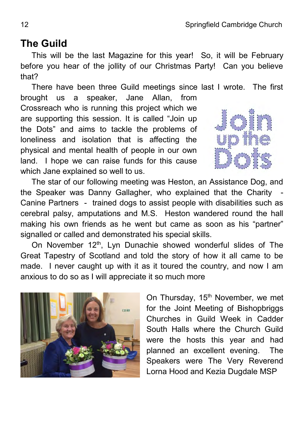## **The Guild**

 This will be the last Magazine for this year! So, it will be February before you hear of the jollity of our Christmas Party! Can you believe that?

There have been three Guild meetings since last I wrote. The first brought us a speaker, Jane Allan, from Crossreach who is running this project which we are supporting this session. It is called "Join up the Dots" and aims to tackle the problems of loneliness and isolation that is affecting the physical and mental health of people in our own land. I hope we can raise funds for this cause which Jane explained so well to us.



 The star of our following meeting was Heston, an Assistance Dog, and the Speaker was Danny Gallagher, who explained that the Charity Canine Partners - trained dogs to assist people with disabilities such as cerebral palsy, amputations and M.S. Heston wandered round the hall making his own friends as he went but came as soon as his "partner" signalled or called and demonstrated his special skills.

On November 12<sup>th</sup>, Lyn Dunachie showed wonderful slides of The Great Tapestry of Scotland and told the story of how it all came to be made. I never caught up with it as it toured the country, and now I am anxious to do so as I will appreciate it so much more



On Thursday, 15<sup>th</sup> November, we met for the Joint Meeting of Bishopbriggs Churches in Guild Week in Cadder South Halls where the Church Guild were the hosts this year and had planned an excellent evening. The Speakers were The Very Reverend Lorna Hood and Kezia Dugdale MSP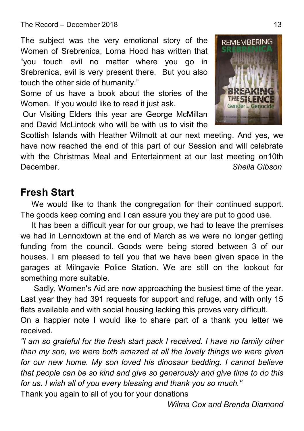The subject was the very emotional story of the Women of Srebrenica, Lorna Hood has written that "you touch evil no matter where you go in Srebrenica, evil is very present there. But you also touch the other side of humanity."

Some of us have a book about the stories of the Women. If you would like to read it just ask.

Our Visiting Elders this year are George McMillan and David McLintock who will be with us to visit the

Scottish Islands with Heather Wilmott at our next meeting. And yes, we have now reached the end of this part of our Session and will celebrate with the Christmas Meal and Entertainment at our last meeting on10th December. *Sheila Gibson*

## **Fresh Start**

We would like to thank the congregation for their continued support. The goods keep coming and I can assure you they are put to good use.

 It has been a difficult year for our group, we had to leave the premises we had in Lennoxtown at the end of March as we were no longer getting funding from the council. Goods were being stored between 3 of our houses. I am pleased to tell you that we have been given space in the garages at Milngavie Police Station. We are still on the lookout for something more suitable.

 Sadly, Women's Aid are now approaching the busiest time of the year. Last year they had 391 requests for support and refuge, and with only 15 flats available and with social housing lacking this proves very difficult.

On a happier note I would like to share part of a thank you letter we received.

*"I am so grateful for the fresh start pack I received. I have no family other than my son, we were both amazed at all the lovely things we were given for our new home. My son loved his dinosaur bedding. I cannot believe that people can be so kind and give so generously and give time to do this for us. I wish all of you every blessing and thank you so much."*

Thank you again to all of you for your donations

*Wilma Cox and Brenda Diamond*



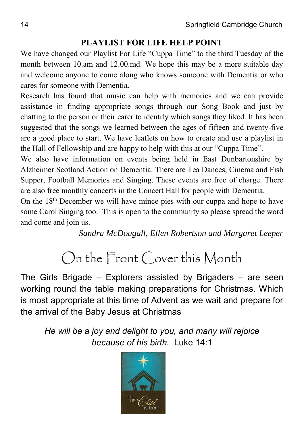#### **PLAYLIST FOR LIFE HELP POINT**

We have changed our Playlist For Life "Cuppa Time" to the third Tuesday of the month between 10.am and 12.00.md. We hope this may be a more suitable day and welcome anyone to come along who knows someone with Dementia or who cares for someone with Dementia.

Research has found that music can help with memories and we can provide assistance in finding appropriate songs through our Song Book and just by chatting to the person or their carer to identify which songs they liked. It has been suggested that the songs we learned between the ages of fifteen and twenty-five are a good place to start. We have leaflets on how to create and use a playlist in the Hall of Fellowship and are happy to help with this at our "Cuppa Time".

We also have information on events being held in East Dunbartonshire by Alzheimer Scotland Action on Dementia. There are Tea Dances, Cinema and Fish Supper, Football Memories and Singing. These events are free of charge. There are also free monthly concerts in the Concert Hall for people with Dementia.

On the 18<sup>th</sup> December we will have mince pies with our cuppa and hope to have some Carol Singing too. This is open to the community so please spread the word and come and join us.

*Sandra McDougall, Ellen Robertson and Margaret Leeper*

## On the Front Cover this Month

The Girls Brigade – Explorers assisted by Brigaders – are seen working round the table making preparations for Christmas. Which is most appropriate at this time of Advent as we wait and prepare for the arrival of the Baby Jesus at Christmas

*He will be a joy and delight to you, and many will rejoice because of his birth.* Luke 14:1

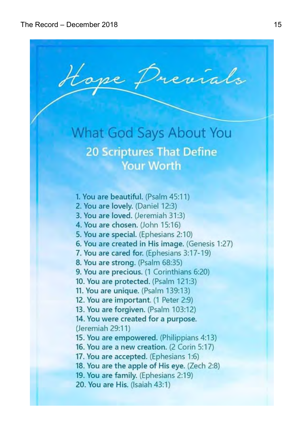**What God Says About You** 

Hope Previals

## **20 Scriptures That Define Your Worth**

- 1. You are beautiful. (Psalm 45:11)
- 2. You are lovely. (Daniel 12:3)
- 3. You are loved. (Jeremiah 31:3)
- 4. You are chosen. (John 15:16)
- 5. You are special. (Ephesians 2:10)
- 6. You are created in His image. (Genesis 1:27)
- 7. You are cared for. (Ephesians 3:17-19)
- 8. You are strong. (Psalm 68:35)
- 9. You are precious. (1 Corinthians 6:20)
- 10. You are protected. (Psalm 121:3)
- 11. You are unique. (Psalm 139:13)
- 12. You are important. (1 Peter 2:9)
- 13. You are forgiven. (Psalm 103:12)
- 14. You were created for a purpose. (Jeremiah 29:11)
- 15. You are empowered. (Philippians 4:13)
- 16. You are a new creation. (2 Corin 5:17)
- 17. You are accepted. (Ephesians 1:6)
- 18. You are the apple of His eye. (Zech 2:8)
- 19. You are family. (Ephesians 2:19)
- 20. You are His. (Isaiah 43:1)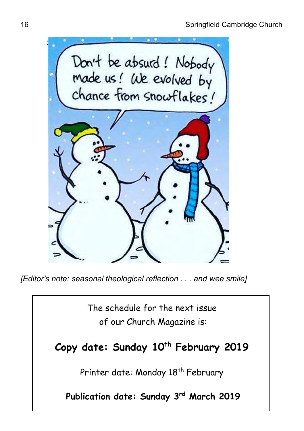

*[Editor's note: seasonal theological reflection . . . and wee smile]*

The schedule for the next issue of our Church Magazine is:

**Copy date: Sunday 10th February 2019**

Printer date: Monday 18<sup>th</sup> February

**Publication date: Sunday 3 rd March 2019**